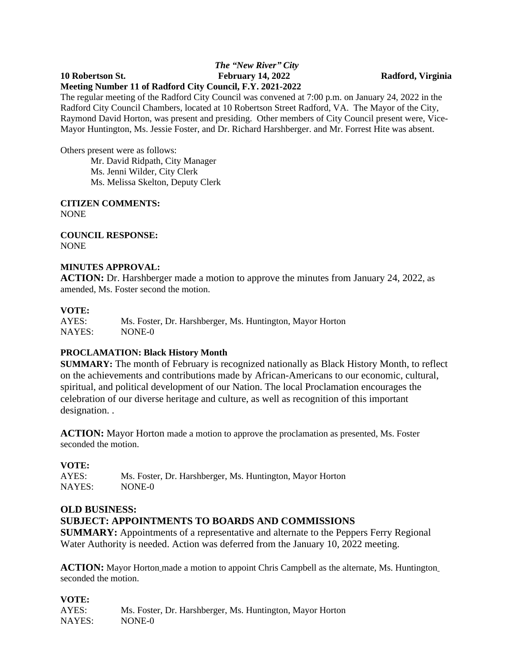#### *The "New River" City* **10 Robertson St. February 14, 2022 Radford, Virginia Meeting Number 11 of Radford City Council, F.Y. 2021-2022**

The regular meeting of the Radford City Council was convened at 7:00 p.m. on January 24, 2022 in the Radford City Council Chambers, located at 10 Robertson Street Radford, VA. The Mayor of the City, Raymond David Horton, was present and presiding. Other members of City Council present were, Vice-Mayor Huntington, Ms. Jessie Foster, and Dr. Richard Harshberger. and Mr. Forrest Hite was absent.

Others present were as follows:

Mr. David Ridpath, City Manager Ms. Jenni Wilder, City Clerk Ms. Melissa Skelton, Deputy Clerk

**CITIZEN COMMENTS:** NONE

**COUNCIL RESPONSE:** NONE

#### **MINUTES APPROVAL:**

**ACTION:** Dr. Harshberger made a motion to approve the minutes from January 24, 2022, as amended, Ms. Foster second the motion.

#### **VOTE:**

| AYES:  | Ms. Foster, Dr. Harshberger, Ms. Huntington, Mayor Horton |
|--------|-----------------------------------------------------------|
| NAYES: | NONE-0                                                    |

# **PROCLAMATION: Black History Month**

**SUMMARY:** The month of February is recognized nationally as Black History Month, to reflect on the achievements and contributions made by African-Americans to our economic, cultural, spiritual, and political development of our Nation. The local Proclamation encourages the celebration of our diverse heritage and culture, as well as recognition of this important designation. .

**ACTION:** Mayor Horton made a motion to approve the proclamation as presented, Ms. Foster seconded the motion.

# **VOTE:**

AYES: Ms. Foster, Dr. Harshberger, Ms. Huntington, Mayor Horton NAYES: NONE-0

#### **OLD BUSINESS:**

# **SUBJECT: APPOINTMENTS TO BOARDS AND COMMISSIONS**

**SUMMARY:** Appointments of a representative and alternate to the Peppers Ferry Regional Water Authority is needed. Action was deferred from the January 10, 2022 meeting.

**ACTION:** Mayor Horton made a motion to appoint Chris Campbell as the alternate, Ms. Huntington seconded the motion.

**VOTE:** Ms. Foster, Dr. Harshberger, Ms. Huntington, Mayor Horton NAYES: NONE-0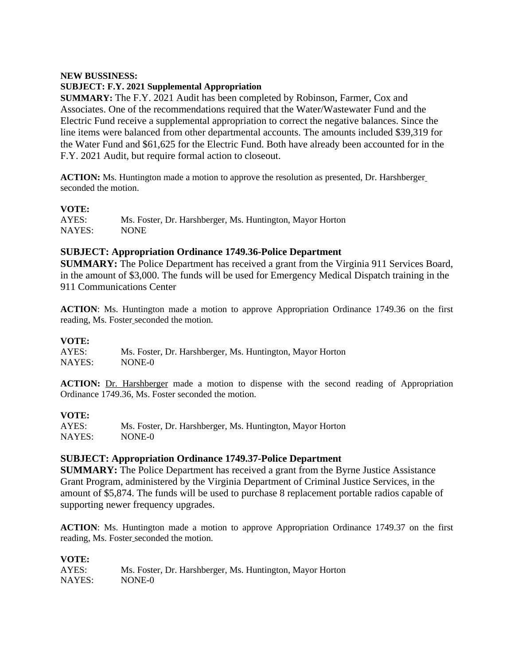#### **NEW BUSSINESS:**

# **SUBJECT: F.Y. 2021 Supplemental Appropriation**

**SUMMARY:** The F.Y. 2021 Audit has been completed by Robinson, Farmer, Cox and Associates. One of the recommendations required that the Water/Wastewater Fund and the Electric Fund receive a supplemental appropriation to correct the negative balances. Since the line items were balanced from other departmental accounts. The amounts included \$39,319 for the Water Fund and \$61,625 for the Electric Fund. Both have already been accounted for in the F.Y. 2021 Audit, but require formal action to closeout.

**ACTION:** Ms. Huntington made a motion to approve the resolution as presented, Dr. Harshberger seconded the motion.

# **VOTE:**

| AYES:  | Ms. Foster, Dr. Harshberger, Ms. Huntington, Mayor Horton |
|--------|-----------------------------------------------------------|
| NAYES: | <b>NONE</b>                                               |

# **SUBJECT: Appropriation Ordinance 1749.36-Police Department**

**SUMMARY:** The Police Department has received a grant from the Virginia 911 Services Board, in the amount of \$3,000. The funds will be used for Emergency Medical Dispatch training in the 911 Communications Center

**ACTION**: Ms. Huntington made a motion to approve Appropriation Ordinance 1749.36 on the first reading, Ms. Foster seconded the motion.

# **VOTE:**

| AYES:  | Ms. Foster, Dr. Harshberger, Ms. Huntington, Mayor Horton |
|--------|-----------------------------------------------------------|
| NAYES: | NONE-0                                                    |

**ACTION:** Dr. Harshberger made a motion to dispense with the second reading of Appropriation Ordinance 1749.36, Ms. Foster seconded the motion.

# **VOTE:**

| AYES:  | Ms. Foster, Dr. Harshberger, Ms. Huntington, Mayor Horton |
|--------|-----------------------------------------------------------|
| NAYES: | NONE-0                                                    |

# **SUBJECT: Appropriation Ordinance 1749.37-Police Department**

**SUMMARY:** The Police Department has received a grant from the Byrne Justice Assistance Grant Program, administered by the Virginia Department of Criminal Justice Services, in the amount of \$5,874. The funds will be used to purchase 8 replacement portable radios capable of supporting newer frequency upgrades.

**ACTION**: Ms. Huntington made a motion to approve Appropriation Ordinance 1749.37 on the first reading, Ms. Foster seconded the motion.

# **VOTE:**

| AYES:  | Ms. Foster, Dr. Harshberger, Ms. Huntington, Mayor Horton |
|--------|-----------------------------------------------------------|
| NAYES: | NONE-0                                                    |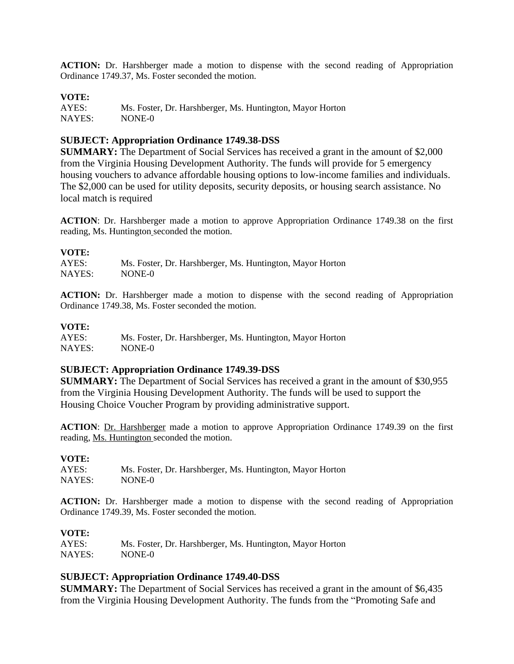**ACTION:** Dr. Harshberger made a motion to dispense with the second reading of Appropriation Ordinance 1749.37, Ms. Foster seconded the motion.

#### **VOTE:**

AYES: Ms. Foster, Dr. Harshberger, Ms. Huntington, Mayor Horton NAYES: NONE-0

#### **SUBJECT: Appropriation Ordinance 1749.38-DSS**

**SUMMARY:** The Department of Social Services has received a grant in the amount of \$2,000 from the Virginia Housing Development Authority. The funds will provide for 5 emergency housing vouchers to advance affordable housing options to low-income families and individuals. The \$2,000 can be used for utility deposits, security deposits, or housing search assistance. No local match is required

**ACTION**: Dr. Harshberger made a motion to approve Appropriation Ordinance 1749.38 on the first reading, Ms. Huntington seconded the motion.

#### **VOTE:**

| AYES:  | Ms. Foster, Dr. Harshberger, Ms. Huntington, Mayor Horton |
|--------|-----------------------------------------------------------|
| NAYES: | NONE-0                                                    |

**ACTION:** Dr. Harshberger made a motion to dispense with the second reading of Appropriation Ordinance 1749.38, Ms. Foster seconded the motion.

# **VOTE:**

Ms. Foster, Dr. Harshberger, Ms. Huntington, Mayor Horton NAYES: NONE-0

#### **SUBJECT: Appropriation Ordinance 1749.39-DSS**

**SUMMARY:** The Department of Social Services has received a grant in the amount of \$30,955 from the Virginia Housing Development Authority. The funds will be used to support the Housing Choice Voucher Program by providing administrative support.

**ACTION**: Dr. Harshberger made a motion to approve Appropriation Ordinance 1749.39 on the first reading, Ms. Huntington seconded the motion.

#### **VOTE:**

| AYES:  | Ms. Foster, Dr. Harshberger, Ms. Huntington, Mayor Horton |
|--------|-----------------------------------------------------------|
| NAYES: | NONE-0                                                    |

**ACTION:** Dr. Harshberger made a motion to dispense with the second reading of Appropriation Ordinance 1749.39, Ms. Foster seconded the motion.

#### **VOTE:**

| AYES:  | Ms. Foster, Dr. Harshberger, Ms. Huntington, Mayor Horton |
|--------|-----------------------------------------------------------|
| NAYES: | NONE-0                                                    |

#### **SUBJECT: Appropriation Ordinance 1749.40-DSS**

**SUMMARY:** The Department of Social Services has received a grant in the amount of \$6,435 from the Virginia Housing Development Authority. The funds from the "Promoting Safe and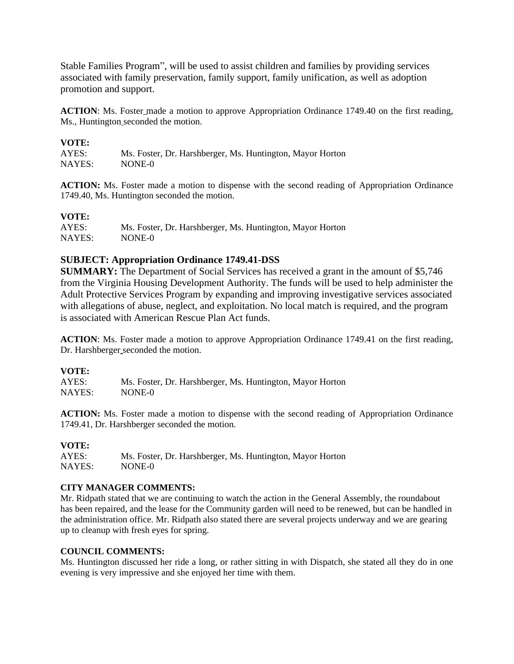Stable Families Program", will be used to assist children and families by providing services associated with family preservation, family support, family unification, as well as adoption promotion and support.

ACTION: Ms. Foster\_made a motion to approve Appropriation Ordinance 1749.40 on the first reading, Ms., Huntington seconded the motion.

#### **VOTE:**

| AYES:  | Ms. Foster, Dr. Harshberger, Ms. Huntington, Mayor Horton |
|--------|-----------------------------------------------------------|
| NAYES: | NONE-0                                                    |

**ACTION:** Ms. Foster made a motion to dispense with the second reading of Appropriation Ordinance 1749.40, Ms. Huntington seconded the motion.

# **VOTE:**

| AYES:  | Ms. Foster, Dr. Harshberger, Ms. Huntington, Mayor Horton |
|--------|-----------------------------------------------------------|
| NAYES: | NONE-0                                                    |

# **SUBJECT: Appropriation Ordinance 1749.41-DSS**

**SUMMARY:** The Department of Social Services has received a grant in the amount of \$5,746 from the Virginia Housing Development Authority. The funds will be used to help administer the Adult Protective Services Program by expanding and improving investigative services associated with allegations of abuse, neglect, and exploitation. No local match is required, and the program is associated with American Rescue Plan Act funds.

**ACTION**: Ms. Foster made a motion to approve Appropriation Ordinance 1749.41 on the first reading, Dr. Harshberger seconded the motion.

#### **VOTE:**

AYES: Ms. Foster, Dr. Harshberger, Ms. Huntington, Mayor Horton NAYES: NONE-0

**ACTION:** Ms. Foster made a motion to dispense with the second reading of Appropriation Ordinance 1749.41, Dr. Harshberger seconded the motion.

#### **VOTE:**

| AYES:  | Ms. Foster, Dr. Harshberger, Ms. Huntington, Mayor Horton |
|--------|-----------------------------------------------------------|
| NAYES: | NONE-0                                                    |

#### **CITY MANAGER COMMENTS:**

Mr. Ridpath stated that we are continuing to watch the action in the General Assembly, the roundabout has been repaired, and the lease for the Community garden will need to be renewed, but can be handled in the administration office. Mr. Ridpath also stated there are several projects underway and we are gearing up to cleanup with fresh eyes for spring.

#### **COUNCIL COMMENTS:**

Ms. Huntington discussed her ride a long, or rather sitting in with Dispatch, she stated all they do in one evening is very impressive and she enjoyed her time with them.